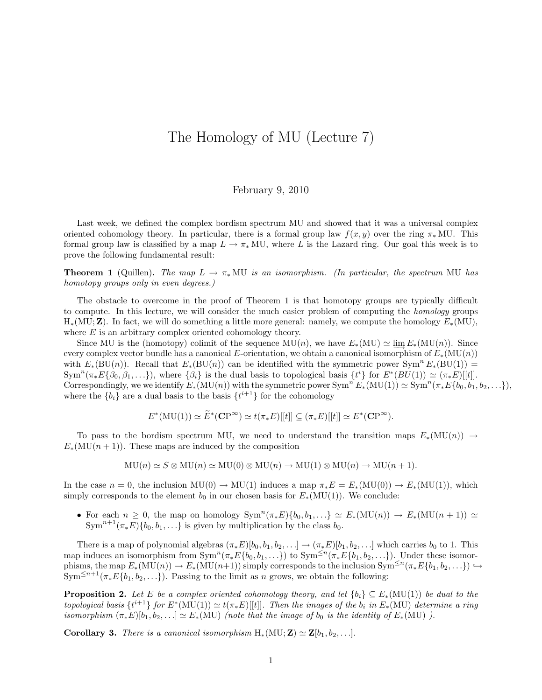## The Homology of MU (Lecture 7)

## February 9, 2010

Last week, we defined the complex bordism spectrum MU and showed that it was a universal complex oriented cohomology theory. In particular, there is a formal group law  $f(x, y)$  over the ring  $\pi_*$  MU. This formal group law is classified by a map  $L \to \pi_*$  MU, where L is the Lazard ring. Our goal this week is to prove the following fundamental result:

**Theorem 1** (Quillen). The map  $L \to \pi_* MU$  is an isomorphism. (In particular, the spectrum MU has homotopy groups only in even degrees.)

The obstacle to overcome in the proof of Theorem 1 is that homotopy groups are typically difficult to compute. In this lecture, we will consider the much easier problem of computing the *homology* groups  $H_*(MU; Z)$ . In fact, we will do something a little more general: namely, we compute the homology  $E_*(MU)$ , where  $E$  is an arbitrary complex oriented cohomology theory.

Since MU is the (homotopy) colimit of the sequence  $MU(n)$ , we have  $E_*(MU) \simeq \varinjlim_{n \to \infty} E_*(MU(n))$ . Since every complex vector bundle has a canonical E-orientation, we obtain a canonical isomorphism of  $E_*(MU(n))$ with  $E_*(\text{BU}(n))$ . Recall that  $E_*(\text{BU}(n))$  can be identified with the symmetric power  $\text{Sym}^n E_*(\text{BU}(1))$  =  $\text{Sym}^n(\pi_* E\{\beta_0, \beta_1, \ldots\}),$  where  $\{\beta_i\}$  is the dual basis to topological basis  $\{t^i\}$  for  $E^*(BU(1)) \simeq (\pi_* E)[[t]].$ Correspondingly, we we identify  $E_*(\text{MU}(n))$  with the symmetric power  $\text{Sym}^n E_*(\text{MU}(1)) \simeq \text{Sym}^n (\pi_* E\{b_0, b_1, b_2, \ldots\}),$ where the  ${b_i}$  are a dual basis to the basis  $\{t^{i+1}\}$  for the cohomology

$$
E^*(\mathrm{MU}(1)) \simeq \widetilde{E}^*(\mathbf{CP}^\infty) \simeq t(\pi_*E)[[t]] \subseteq (\pi_*E)[[t]] \simeq E^*(\mathbf{CP}^\infty).
$$

To pass to the bordism spectrum MU, we need to understand the transition maps  $E_*(MU(n)) \to$  $E_*(MU(n+1))$ . These maps are induced by the composition

$$
\mathbf{MU}(n) \simeq S \otimes \mathbf{MU}(n) \simeq \mathbf{MU}(0) \otimes \mathbf{MU}(n) \to \mathbf{MU}(1) \otimes \mathbf{MU}(n) \to \mathbf{MU}(n+1).
$$

In the case  $n = 0$ , the inclusion  $MU(0) \to MU(1)$  induces a map  $\pi_* E = E_*(MU(0)) \to E_*(MU(1))$ , which simply corresponds to the element  $b_0$  in our chosen basis for  $E_*(MU(1))$ . We conclude:

• For each  $n \geq 0$ , the map on homology  $Sym^n(\pi_*E)\{b_0, b_1, ...\} \simeq E_*(MU(n)) \to E_*(MU(n+1)) \simeq$  $\text{Sym}^{n+1}(\pi_*\overline{E})\{b_0, b_1, \ldots\}$  is given by multiplication by the class  $b_0$ .

There is a map of polynomial algebras  $(\pi_*E)[b_0, b_1, b_2, \ldots] \to (\pi_*E)[b_1, b_2, \ldots]$  which carries  $b_0$  to 1. This map induces an isomorphism from  $\text{Sym}^n(\pi_* E\{b_0, b_1, \ldots\})$  to  $\text{Sym}^{\leq n}(\pi_* E\{b_1, b_2, \ldots\})$ . Under these isomorphisms, the map  $E_*(\text{MU}(n)) \to E_*(\text{MU}(n+1))$  simply corresponds to the inclusion  $\text{Sym}^{\leq n}(\pi_*E\{b_1, b_2, \ldots\}) \hookrightarrow$  $\text{Sym}^{\leq n+1}(\pi_* E\{b_1, b_2, \ldots\})$ . Passing to the limit as n grows, we obtain the following:

**Proposition 2.** Let E be a complex oriented cohomology theory, and let  ${b_i} \subseteq E_*(MU(1))$  be dual to the topological basis  $\{t^{i+1}\}$  for  $E^*(\text{MU}(1)) \simeq t(\pi_* E)[[t]]$ . Then the images of the  $b_i$  in  $E_*(\text{MU})$  determine a ring isomorphism  $(\pi_*E)[b_1, b_2, \ldots] \simeq E_*(\text{MU})$  (note that the image of  $b_0$  is the identity of  $E_*(\text{MU})$ ).

**Corollary 3.** There is a canonical isomorphism  $H_*(MU; Z) \simeq Z[b_1, b_2, \ldots]$ .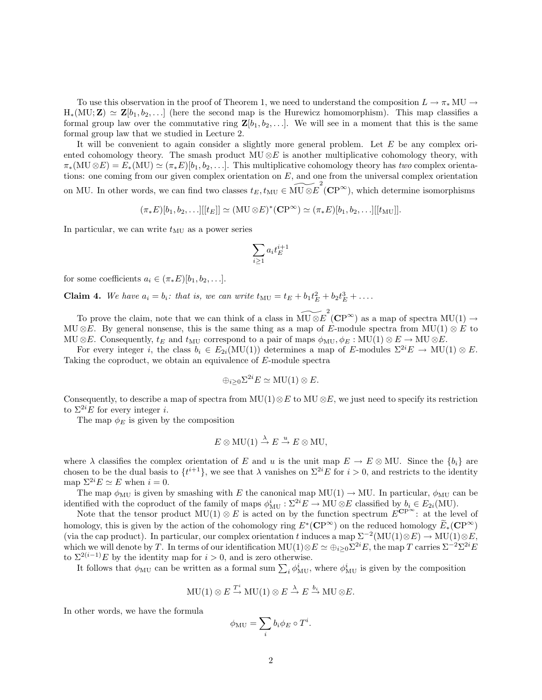To use this observation in the proof of Theorem 1, we need to understand the composition  $L \to \pi_* MU \to$  $H_*(MU; Z) \simeq Z[b_1, b_2, \ldots]$  (here the second map is the Hurewicz homomorphism). This map classifies a formal group law over the commutative ring  $\mathbf{Z}[b_1, b_2, \ldots]$ . We will see in a moment that this is the same formal group law that we studied in Lecture 2.

It will be convenient to again consider a slightly more general problem. Let  $E$  be any complex oriented cohomology theory. The smash product  $MU \otimes E$  is another multiplicative cohomology theory, with  $\pi_*(\text{MU} \otimes E) = E_*(\text{MU}) \simeq (\pi_* E)[b_1, b_2, \ldots]$ . This multiplicative cohomology theory has two complex orientations: one coming from our given complex orientation on  $E$ , and one from the universal complex orientation on MU. In other words, we can find two classes  $t_E, t_{\text{MU}} \in \widetilde{\text{MU} \otimes E}^2(\mathbf{CP}^{\infty})$ , which determine isomorphisms

$$
(\pi_*E)[b_1, b_2, \ldots][[t_E]] \simeq (\mathbf{MU} \otimes E)^* (\mathbf{CP}^{\infty}) \simeq (\pi_*E)[b_1, b_2, \ldots][[t_{\mathbf{MU}}]].
$$

In particular, we can write  $t_{\text{MU}}$  as a power series

$$
\sum_{i\geq 1} a_i t_E^{i+1}
$$

for some coefficients  $a_i \in (\pi_*E)[b_1, b_2, \ldots]$ .

**Claim 4.** We have  $a_i = b_i$ : that is, we can write  $t_{\text{MU}} = t_E + b_1 t_E^2 + b_2 t_E^3 + \dots$ 

To prove the claim, note that we can think of a class in  $\widetilde{\mathrm{MU}\otimes E}^2(\mathbf{CP}^\infty)$  as a map of spectra  $\mathrm{MU}(1) \to$ MU ⊗E. By general nonsense, this is the same thing as a map of E-module spectra from MU(1)  $\otimes$  E to MU ⊗E. Consequently,  $t_E$  and  $t_{\text{MU}}$  correspond to a pair of maps  $\phi_{\text{MU}}, \phi_E : \text{MU}(1) \otimes E \to \text{MU} \otimes E$ .

For every integer i, the class  $b_i \in E_{2i}(\text{MU}(1))$  determines a map of E-modules  $\Sigma^{2i}E \to \text{MU}(1) \otimes E$ . Taking the coproduct, we obtain an equivalence of E-module spectra

$$
\oplus_{i\geq 0} \Sigma^{2i} E \simeq \text{MU}(1) \otimes E.
$$

Consequently, to describe a map of spectra from  $MU(1) \otimes E$  to  $MU \otimes E$ , we just need to specify its restriction to  $\Sigma^{2i}E$  for every integer *i*.

The map  $\phi_E$  is given by the composition

$$
E \otimes MU(1) \stackrel{\lambda}{\to} E \stackrel{u}{\to} E \otimes MU,
$$

where  $\lambda$  classifies the complex orientation of E and u is the unit map  $E \to E \otimes MU$ . Since the  $\{b_i\}$  are chosen to be the dual basis to  $\{t^{i+1}\}$ , we see that  $\lambda$  vanishes on  $\Sigma^{2i}E$  for  $i > 0$ , and restricts to the identity map  $\Sigma^{2i}E \simeq E$  when  $i = 0$ .

The map  $\phi_{MU}$  is given by smashing with E the canonical map  $MU(1) \to MU$ . In particular,  $\phi_{MU}$  can be identified with the coproduct of the family of maps  $\phi_{MU}^i : \Sigma^{2i} E \to MU \otimes E$  classified by  $b_i \in E_{2i}(MU)$ .

Note that the tensor product  $MU(1) \otimes E$  is acted on by the function spectrum  $E^{\mathbf{CP}^{\infty}}$ : at the level of homology, this is given by the action of the cohomology ring  $E^*(\mathbf{CP}^{\infty})$  on the reduced homology  $\widetilde{E}_*(\mathbf{CP}^{\infty})$ (via the cap product). In particular, our complex orientation t induces a map  $\Sigma^{-2}(\text{MU}(1)\otimes E) \to \text{MU}(1)\otimes E$ , which we will denote by T. In terms of our identification  $MU(1)\otimes E \simeq \bigoplus_{i\geq 0} \Sigma^{2i}E$ , the map T carries  $\Sigma^{-2}\Sigma^{2i}E$ to  $\Sigma^{2(i-1)}E$  by the identity map for  $i > 0$ , and is zero otherwise.

It follows that  $\phi_{MU}$  can be written as a formal sum  $\sum_i \phi_{MU}^i$ , where  $\phi_{MU}^i$  is given by the composition

$$
MU(1) \otimes E \stackrel{T^i}{\to} MU(1) \otimes E \stackrel{\lambda}{\to} E \stackrel{b_i}{\to} MU \otimes E.
$$

In other words, we have the formula

$$
\phi_{\rm MU} = \sum_i b_i \phi_E \circ T^i.
$$